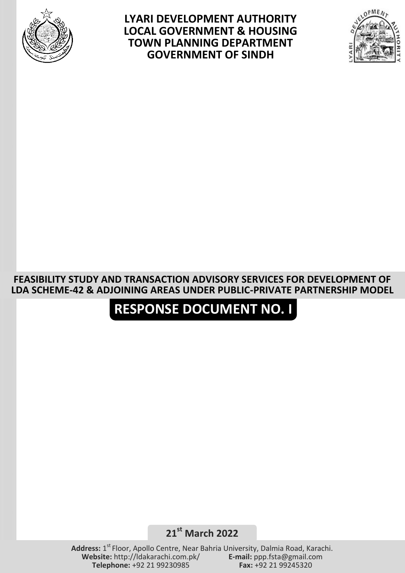

**LYARI DEVELOPMENT AUTHORITY LOCAL GOVERNMENT & HOUSING TOWN PLANNING DEPARTMENT GOVERNMENT OF SINDH**



## **FEASIBILITY STUDY AND TRANSACTION ADVISORY SERVICES FOR DEVELOPMENT OF LDA SCHEME-42 & ADJOINING AREAS UNDER PUBLIC-PRIVATE PARTNERSHIP MODEL**

## **RESPONSE DOCUMENT NO. I**

**21st March 2022**

Address: 1<sup>st</sup> Floor, Apollo Centre, Near Bahria University, Dalmia Road, Karachi. **Website:** http://ldakarachi.com.pk/ **E-mail:** ppp.fsta@gmail.com **Telephone: +92 21 99230985**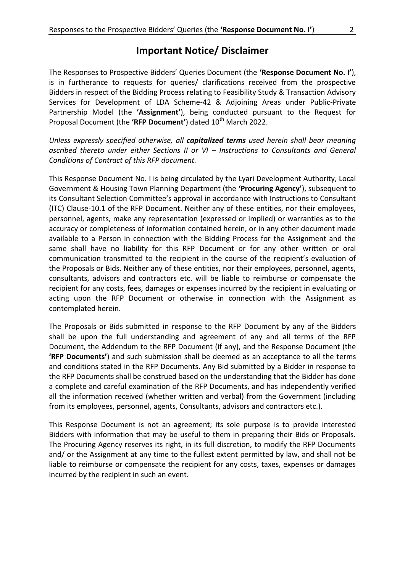## **Important Notice/ Disclaimer**

The Responses to Prospective Bidders' Queries Document (the **'Response Document No. I'**), is in furtherance to requests for queries/ clarifications received from the prospective Bidders in respect of the Bidding Process relating to Feasibility Study & Transaction Advisory Services for Development of LDA Scheme-42 & Adjoining Areas under Public-Private Partnership Model (the **'Assignment'**), being conducted pursuant to the Request for Proposal Document (the 'RFP Document') dated 10<sup>th</sup> March 2022.

*Unless expressly specified otherwise, all capitalized terms used herein shall bear meaning ascribed thereto under either Sections II or VI – Instructions to Consultants and General Conditions of Contract of this RFP document.*

This Response Document No. I is being circulated by the Lyari Development Authority, Local Government & Housing Town Planning Department (the **'Procuring Agency'**), subsequent to its Consultant Selection Committee's approval in accordance with Instructions to Consultant (ITC) Clause-10.1 of the RFP Document. Neither any of these entities, nor their employees, personnel, agents, make any representation (expressed or implied) or warranties as to the accuracy or completeness of information contained herein, or in any other document made available to a Person in connection with the Bidding Process for the Assignment and the same shall have no liability for this RFP Document or for any other written or oral communication transmitted to the recipient in the course of the recipient's evaluation of the Proposals or Bids. Neither any of these entities, nor their employees, personnel, agents, consultants, advisors and contractors etc. will be liable to reimburse or compensate the recipient for any costs, fees, damages or expenses incurred by the recipient in evaluating or acting upon the RFP Document or otherwise in connection with the Assignment as contemplated herein.

The Proposals or Bids submitted in response to the RFP Document by any of the Bidders shall be upon the full understanding and agreement of any and all terms of the RFP Document, the Addendum to the RFP Document (if any), and the Response Document (the **'RFP Documents'**) and such submission shall be deemed as an acceptance to all the terms and conditions stated in the RFP Documents. Any Bid submitted by a Bidder in response to the RFP Documents shall be construed based on the understanding that the Bidder has done a complete and careful examination of the RFP Documents, and has independently verified all the information received (whether written and verbal) from the Government (including from its employees, personnel, agents, Consultants, advisors and contractors etc.).

This Response Document is not an agreement; its sole purpose is to provide interested Bidders with information that may be useful to them in preparing their Bids or Proposals. The Procuring Agency reserves its right, in its full discretion, to modify the RFP Documents and/ or the Assignment at any time to the fullest extent permitted by law, and shall not be liable to reimburse or compensate the recipient for any costs, taxes, expenses or damages incurred by the recipient in such an event.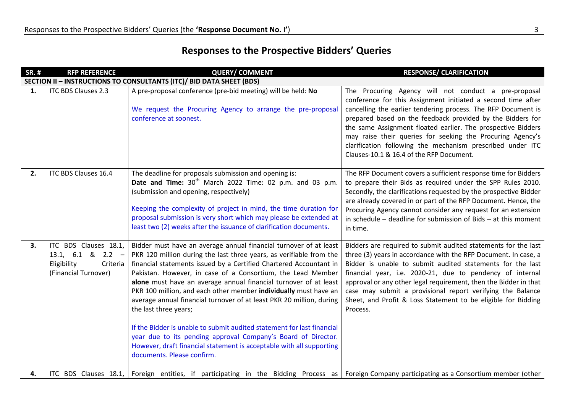## **Responses to the Prospective Bidders' Queries**

| <b>SR.#</b>                                                          | <b>RFP REFERENCE</b>                                                                          | <b>QUERY/ COMMENT</b>                                                                                                                                                                                                                                                                                                                                                                                                                                                                                                                                                                                                                                                                                                                                                   | <b>RESPONSE/ CLARIFICATION</b>                                                                                                                                                                                                                                                                                                                                                                                                                                                              |  |  |
|----------------------------------------------------------------------|-----------------------------------------------------------------------------------------------|-------------------------------------------------------------------------------------------------------------------------------------------------------------------------------------------------------------------------------------------------------------------------------------------------------------------------------------------------------------------------------------------------------------------------------------------------------------------------------------------------------------------------------------------------------------------------------------------------------------------------------------------------------------------------------------------------------------------------------------------------------------------------|---------------------------------------------------------------------------------------------------------------------------------------------------------------------------------------------------------------------------------------------------------------------------------------------------------------------------------------------------------------------------------------------------------------------------------------------------------------------------------------------|--|--|
| SECTION II - INSTRUCTIONS TO CONSULTANTS (ITC)/ BID DATA SHEET (BDS) |                                                                                               |                                                                                                                                                                                                                                                                                                                                                                                                                                                                                                                                                                                                                                                                                                                                                                         |                                                                                                                                                                                                                                                                                                                                                                                                                                                                                             |  |  |
| 1.                                                                   | <b>ITC BDS Clauses 2.3</b>                                                                    | A pre-proposal conference (pre-bid meeting) will be held: No<br>We request the Procuring Agency to arrange the pre-proposal<br>conference at soonest.                                                                                                                                                                                                                                                                                                                                                                                                                                                                                                                                                                                                                   | The Procuring Agency will not conduct a pre-proposal<br>conference for this Assignment initiated a second time after<br>cancelling the earlier tendering process. The RFP Document is<br>prepared based on the feedback provided by the Bidders for<br>the same Assignment floated earlier. The prospective Bidders<br>may raise their queries for seeking the Procuring Agency's<br>clarification following the mechanism prescribed under ITC<br>Clauses-10.1 & 16.4 of the RFP Document. |  |  |
| 2.                                                                   | ITC BDS Clauses 16.4                                                                          | The deadline for proposals submission and opening is:<br>Date and Time: 30 <sup>th</sup> March 2022 Time: 02 p.m. and 03 p.m.<br>(submission and opening, respectively)<br>Keeping the complexity of project in mind, the time duration for<br>proposal submission is very short which may please be extended at<br>least two (2) weeks after the issuance of clarification documents.                                                                                                                                                                                                                                                                                                                                                                                  | The RFP Document covers a sufficient response time for Bidders<br>to prepare their Bids as required under the SPP Rules 2010.<br>Secondly, the clarifications requested by the prospective Bidder<br>are already covered in or part of the RFP Document. Hence, the<br>Procuring Agency cannot consider any request for an extension<br>in schedule $-$ deadline for submission of Bids $-$ at this moment<br>in time.                                                                      |  |  |
| 3.                                                                   | ITC BDS Clauses 18.1,<br>13.1, 6.1 & 2.2 -<br>Eligibility<br>Criteria<br>(Financial Turnover) | Bidder must have an average annual financial turnover of at least<br>PKR 120 million during the last three years, as verifiable from the<br>financial statements issued by a Certified Chartered Accountant in<br>Pakistan. However, in case of a Consortium, the Lead Member<br>alone must have an average annual financial turnover of at least<br>PKR 100 million, and each other member individually must have an<br>average annual financial turnover of at least PKR 20 million, during<br>the last three years;<br>If the Bidder is unable to submit audited statement for last financial<br>year due to its pending approval Company's Board of Director.<br>However, draft financial statement is acceptable with all supporting<br>documents. Please confirm. | Bidders are required to submit audited statements for the last<br>three (3) years in accordance with the RFP Document. In case, a<br>Bidder is unable to submit audited statements for the last<br>financial year, i.e. 2020-21, due to pendency of internal<br>approval or any other legal requirement, then the Bidder in that<br>case may submit a provisional report verifying the Balance<br>Sheet, and Profit & Loss Statement to be eligible for Bidding<br>Process.                 |  |  |
| 4.                                                                   | ITC BDS Clauses 18.1,                                                                         | Foreign entities, if participating in the Bidding Process as Foreign Company participating as a Consortium member (other                                                                                                                                                                                                                                                                                                                                                                                                                                                                                                                                                                                                                                                |                                                                                                                                                                                                                                                                                                                                                                                                                                                                                             |  |  |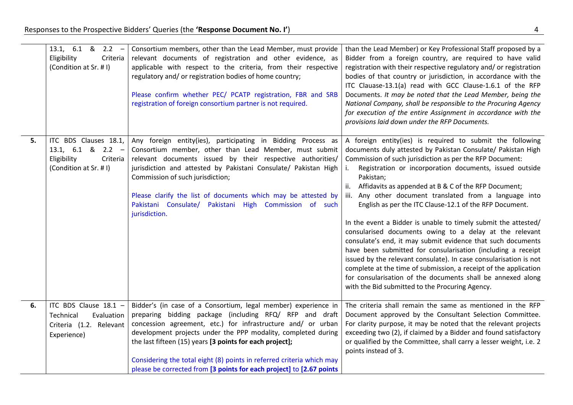|    | 13.1, $6.1 \& 2.2 -$<br>Eligibility<br>Criteria<br>(Condition at Sr. # I)                          | Consortium members, other than the Lead Member, must provide<br>relevant documents of registration and other evidence, as<br>applicable with respect to the criteria, from their respective<br>regulatory and/ or registration bodies of home country;<br>Please confirm whether PEC/ PCATP registration, FBR and SRB<br>registration of foreign consortium partner is not required.                                                    | than the Lead Member) or Key Professional Staff proposed by a<br>Bidder from a foreign country, are required to have valid<br>registration with their respective regulatory and/ or registration<br>bodies of that country or jurisdiction, in accordance with the<br>ITC Clauase-13.1(a) read with GCC Clause-1.6.1 of the RFP<br>Documents. It may be noted that the Lead Member, being the<br>National Company, shall be responsible to the Procuring Agency<br>for execution of the entire Assignment in accordance with the<br>provisions laid down under the RFP Documents.                                                                                                                                                                                                                                                                                                                                                                                         |
|----|----------------------------------------------------------------------------------------------------|-----------------------------------------------------------------------------------------------------------------------------------------------------------------------------------------------------------------------------------------------------------------------------------------------------------------------------------------------------------------------------------------------------------------------------------------|---------------------------------------------------------------------------------------------------------------------------------------------------------------------------------------------------------------------------------------------------------------------------------------------------------------------------------------------------------------------------------------------------------------------------------------------------------------------------------------------------------------------------------------------------------------------------------------------------------------------------------------------------------------------------------------------------------------------------------------------------------------------------------------------------------------------------------------------------------------------------------------------------------------------------------------------------------------------------|
| 5. | ITC BDS Clauses 18.1,<br>13.1, $6.1 \& 2.2 -$<br>Eligibility<br>Criteria<br>(Condition at Sr. # I) | Any foreign entity(ies), participating in Bidding Process as<br>Consortium member, other than Lead Member, must submit<br>relevant documents issued by their respective authorities/<br>jurisdiction and attested by Pakistani Consulate/ Pakistan High<br>Commission of such jurisdiction;<br>Please clarify the list of documents which may be attested by<br>Pakistani Consulate/ Pakistani High Commission of such<br>jurisdiction. | A foreign entity(ies) is required to submit the following<br>documents duly attested by Pakistan Consulate/ Pakistan High<br>Commission of such jurisdiction as per the RFP Document:<br>Registration or incorporation documents, issued outside<br>Pakistan;<br>Affidavits as appended at B & C of the RFP Document;<br>ii.<br>iii. Any other document translated from a language into<br>English as per the ITC Clause-12.1 of the RFP Document.<br>In the event a Bidder is unable to timely submit the attested/<br>consularised documents owing to a delay at the relevant<br>consulate's end, it may submit evidence that such documents<br>have been submitted for consularisation (including a receipt<br>issued by the relevant consulate). In case consularisation is not<br>complete at the time of submission, a receipt of the application<br>for consularisation of the documents shall be annexed along<br>with the Bid submitted to the Procuring Agency. |
| 6. | ITC BDS Clause 18.1 -                                                                              | Bidder's (in case of a Consortium, legal member) experience in                                                                                                                                                                                                                                                                                                                                                                          | The criteria shall remain the same as mentioned in the RFP                                                                                                                                                                                                                                                                                                                                                                                                                                                                                                                                                                                                                                                                                                                                                                                                                                                                                                                |
|    | Evaluation<br>Technical                                                                            | preparing bidding package (including RFQ/ RFP and draft                                                                                                                                                                                                                                                                                                                                                                                 | Document approved by the Consultant Selection Committee.                                                                                                                                                                                                                                                                                                                                                                                                                                                                                                                                                                                                                                                                                                                                                                                                                                                                                                                  |
|    | Criteria (1.2. Relevant                                                                            | concession agreement, etc.) for infrastructure and/ or urban                                                                                                                                                                                                                                                                                                                                                                            | For clarity purpose, it may be noted that the relevant projects                                                                                                                                                                                                                                                                                                                                                                                                                                                                                                                                                                                                                                                                                                                                                                                                                                                                                                           |
|    | Experience)                                                                                        | development projects under the PPP modality, completed during                                                                                                                                                                                                                                                                                                                                                                           | exceeding two (2), if claimed by a Bidder and found satisfactory                                                                                                                                                                                                                                                                                                                                                                                                                                                                                                                                                                                                                                                                                                                                                                                                                                                                                                          |
|    |                                                                                                    | the last fifteen (15) years [3 points for each project];                                                                                                                                                                                                                                                                                                                                                                                | or qualified by the Committee, shall carry a lesser weight, i.e. 2<br>points instead of 3.                                                                                                                                                                                                                                                                                                                                                                                                                                                                                                                                                                                                                                                                                                                                                                                                                                                                                |
|    |                                                                                                    | Considering the total eight (8) points in referred criteria which may                                                                                                                                                                                                                                                                                                                                                                   |                                                                                                                                                                                                                                                                                                                                                                                                                                                                                                                                                                                                                                                                                                                                                                                                                                                                                                                                                                           |
|    |                                                                                                    | please be corrected from [3 points for each project] to [2.67 points                                                                                                                                                                                                                                                                                                                                                                    |                                                                                                                                                                                                                                                                                                                                                                                                                                                                                                                                                                                                                                                                                                                                                                                                                                                                                                                                                                           |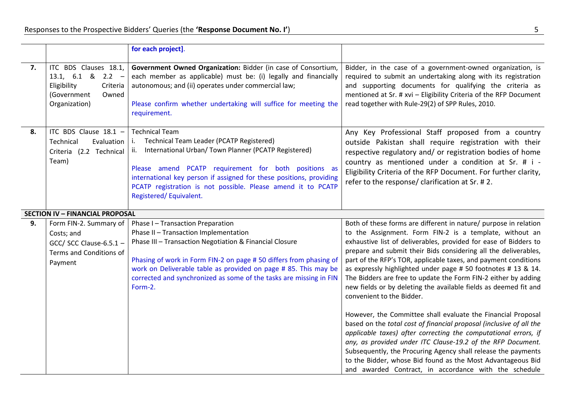|    |                                                                                                                   | for each project].                                                                                                                                                                                                                                                                                                                                              |                                                                                                                                                                                                                                                                                                                                                                                                                                                                                                                                                                           |
|----|-------------------------------------------------------------------------------------------------------------------|-----------------------------------------------------------------------------------------------------------------------------------------------------------------------------------------------------------------------------------------------------------------------------------------------------------------------------------------------------------------|---------------------------------------------------------------------------------------------------------------------------------------------------------------------------------------------------------------------------------------------------------------------------------------------------------------------------------------------------------------------------------------------------------------------------------------------------------------------------------------------------------------------------------------------------------------------------|
| 7. | ITC BDS Clauses 18.1,<br>13.1, $6.1 \& 2.2 -$<br>Eligibility<br>Criteria<br>(Government<br>Owned<br>Organization) | Government Owned Organization: Bidder (in case of Consortium,<br>each member as applicable) must be: (i) legally and financially<br>autonomous; and (ii) operates under commercial law;<br>Please confirm whether undertaking will suffice for meeting the<br>requirement.                                                                                      | Bidder, in the case of a government-owned organization, is<br>required to submit an undertaking along with its registration<br>and supporting documents for qualifying the criteria as<br>mentioned at Sr. # xvi - Eligibility Criteria of the RFP Document<br>read together with Rule-29(2) of SPP Rules, 2010.                                                                                                                                                                                                                                                          |
| 8. | ITC BDS Clause 18.1 -<br>Technical<br>Evaluation<br>Criteria (2.2 Technical<br>Team)                              | <b>Technical Team</b><br>Technical Team Leader (PCATP Registered)<br>i.<br>International Urban/ Town Planner (PCATP Registered)<br>ii.<br>Please amend PCATP requirement for both positions as<br>international key person if assigned for these positions, providing<br>PCATP registration is not possible. Please amend it to PCATP<br>Registered/Equivalent. | Any Key Professional Staff proposed from a country<br>outside Pakistan shall require registration with their<br>respective regulatory and/ or registration bodies of home<br>country as mentioned under a condition at Sr. # i -<br>Eligibility Criteria of the RFP Document. For further clarity,<br>refer to the response/ clarification at Sr. #2.                                                                                                                                                                                                                     |
|    | <b>SECTION IV - FINANCIAL PROPOSAL</b>                                                                            |                                                                                                                                                                                                                                                                                                                                                                 |                                                                                                                                                                                                                                                                                                                                                                                                                                                                                                                                                                           |
| 9. | Form FIN-2. Summary of<br>Costs; and<br>GCC/ SCC Clause-6.5.1 $-$<br>Terms and Conditions of<br>Payment           | Phase I - Transaction Preparation<br>Phase II - Transaction Implementation<br>Phase III - Transaction Negotiation & Financial Closure<br>Phasing of work in Form FIN-2 on page #50 differs from phasing of<br>work on Deliverable table as provided on page # 85. This may be<br>corrected and synchronized as some of the tasks are missing in FIN<br>Form-2.  | Both of these forms are different in nature/ purpose in relation<br>to the Assignment. Form FIN-2 is a template, without an<br>exhaustive list of deliverables, provided for ease of Bidders to<br>prepare and submit their Bids considering all the deliverables,<br>part of the RFP's TOR, applicable taxes, and payment conditions<br>as expressly highlighted under page # 50 footnotes # 13 & 14.<br>The Bidders are free to update the Form FIN-2 either by adding<br>new fields or by deleting the available fields as deemed fit and<br>convenient to the Bidder. |
|    |                                                                                                                   |                                                                                                                                                                                                                                                                                                                                                                 | However, the Committee shall evaluate the Financial Proposal<br>based on the total cost of financial proposal (inclusive of all the<br>applicable taxes) after correcting the computational errors, if<br>any, as provided under ITC Clause-19.2 of the RFP Document.<br>Subsequently, the Procuring Agency shall release the payments<br>to the Bidder, whose Bid found as the Most Advantageous Bid<br>and awarded Contract, in accordance with the schedule                                                                                                            |